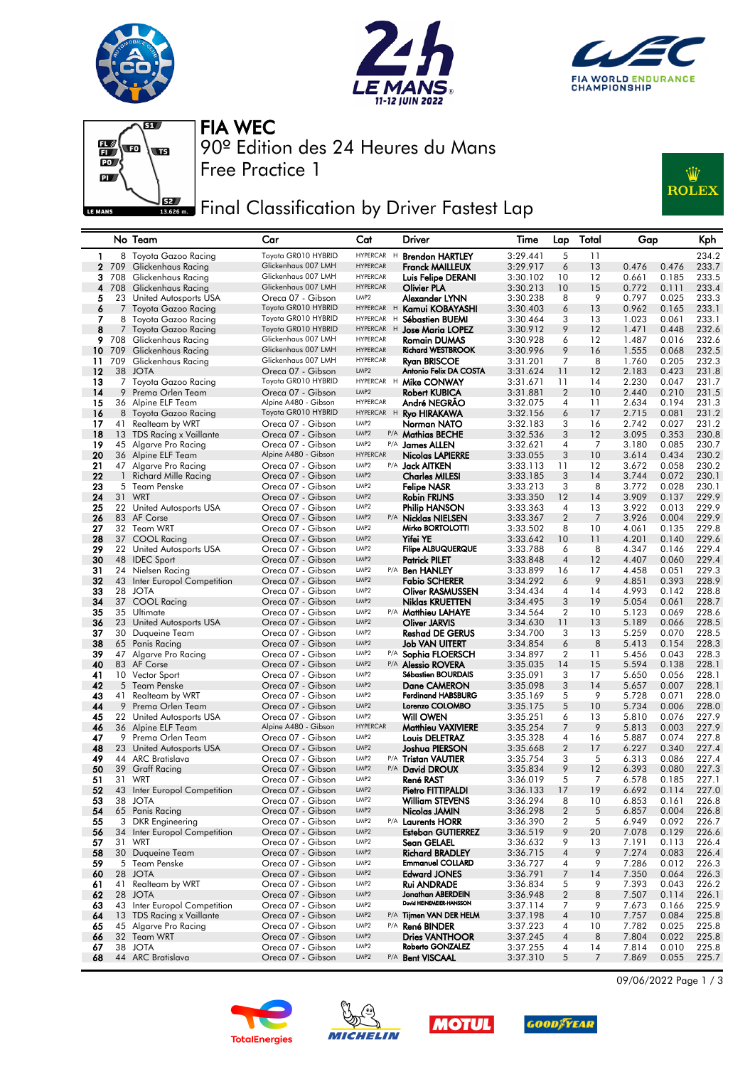







90º Edition des 24 Heures du Mans FIA WEC

Free Practice 1

Final Classification by Driver Fastest Lap



## No Team Car Cat Driver Time Lap Total Gap Kph 1 8 Toyota Gazoo Racing Toyota GR010 HYBRID HYPERCAR H **Brendon HARTLEY** 3:29.441 5 11 234.2<br>2 709 Glickenhaus Racing Glickenhaus 007 LMH HYPERCAR **Franck MAILLEUX** 3:29.917 6 13 0.476 0.476 233.7 2 71 709 Glickenhaus 207 LMH HYPERCAR **Franck MAILLEUX** 3:29.917<br>2.329.102 Glickenhaus 007 LMH HYPERCAR Luis Felipe DERANI 3:30.102 708 Glickenhaus Racing Glickenhaus 007 LMH HYPERCAR Luis Felipe DERANI 3:30.102 10 12 0.661 0.185 233.5 708 Glickenhaus Racing Glickenhaus 007 LMH HYPERCAR Olivier PLA 3:30.213 10 15 0.772 0.111 233.4 5 3 United Autosports USA Oreca 07 - Gibson LMP2 **Alexander LYNN** 3:30.238 8 9 0.797 0.025 233.3<br>7 Toyota Gazoo Racing Toyota GR010 HYBRID HYPERCAR H **Kamui KOBAYASHI** 3:30.403 6 13 0.962 0.165 233.1 6 7 Toyota Gazoo Racing Toyota GR010 HYBRID HYPERCAR H Kamui KOBAYASHI 3:30.403 6 13 0.962 0.165 233.1<br>7 8 Toyota Gazoo Racing Toyota GR010 HYBRID HYPERCAR H Sébastien BUEMI 3:30.464 3 13 1.023 0.061 233.1 8 Toyota Gazoo Racing Toyota GR010 HYBRID HYPERCAR <sup>H</sup> Sébastien BUEMI 3:30.464 3 13 1.023 0.061 233.1 8 7 Toyota Gazoo Racing Toyota GR010 HYBRID HYPERCAR H Jose Maria LOPEZ 3:30.912 9 12 1.471 0.448 232.6<br>9 708 Glickenbaus Racing Glickenhaus 007 LMH HYPERCAR Romain DIJMAS 3:30.928 6 12 1.487 0.016 232.6 708 Glickenhaus Racing Glickenhaus 007 LMH HYPERCAR Romain DUMAS 3:30.928 6 12 1.487 0.016 232.6 709 Glickenhaus Racing Glickenhaus 007 LMH HYPERCAR Richard WESTBROOK 3:30.996 9 16 1.555 0.068 232.5 709 Glickenhaus Racing Glickenhaus 007 LMH HYPERCAR Ryan BRISCOE 3:31.201 7 8 1.760 0.205 232.3 12 38 JOTA Oreca 07 - Gibson LMP2 Antonio Felix DA COSTA 3:31.624 11 12 2.183 0.423 231.8<br>13 7 Toyota Gazoo Racing Toyota GR010 HYBRID HYPERCAR H Mike CONWAY 3:31.671 11 14 2.230 0.047 231.7 7 Toyota Gazoo Racing Toyota GR010 HYBRID HYPERCAR <sup>H</sup> Mike CONWAY 3:31.671 11 14 2.230 0.047 231.7 14 9 Prema Orlen Team **Oreca 07 - Gibson** UMP2 Robert KUBICA 3:31.881 2 10 2.440 0.210<br>15 36 Alpine ELF Team Alpine A480 - Gibson HYPERCAR **André NEGRÃO** 3:32.075 4 11 2.634 0.194 15 36 Alpine ELF Team **Alpine A480 - Gibson** HYPERCAR **André NEGRÃO** 3:32.075 4 11 2.634 0.194 231.3<br>16 8 Toyota Gazoo Racing Toyota GR010 HYBRID HYPERCAR H**Ryo HIRAKAWA** 3:32.156 6 17 2.715 0.081 231.2 8 Toyota Gazoo Racing Toyota GR010 HYBRID HYPERCAR <sup>H</sup> Ryo HIRAKAWA 3:32.156 6 17 2.715 0.081 231.2 41 Realteam by WRT Oreca 07 - Gibson LMP2 Norman NATO 3:32.183 3 16 2.742 0.027 231.2 13 TDS Racing x Vaillante Oreca 07 - Gibson LMP2 P/A Mathias BECHE 3:32.536 3 12 3.095 0.353 230.8 15 Algarve Pro Racing **Oreca 07 - Gibson LIMP2** P/A James ALLEN 36 Alpine ELF Team Alpine A480 - Gibson HYPERCAR Nicolas LAPIERRE 20 36 Alpine ELF Team **Alpine A480 - Gibson** HYPERCAR **Nicolas LAPIERRE** 3:33.055 3 10 3.614 0.434 230.2<br>21 47 Algarve Pro Racing Creca 07 - Gibson *LMP2* P/A **Jack AITKEN** 3:33.113 11 12 3.672 0.058 230.2 21 47 Algarve Pro Racing Creca 07 - Gibson UMP2 P/A Jack AITKEN 3:33.113 11 12 3.672 0.058 230.2<br>22 1 Richard Mille Racing Creca 07 - Gibson UMP2 Charles MILESI 3:33.185 3 14 3.744 0.072 230.1 1 Richard Mille Racing Oreca 07 - Gibson LMP2 Charles MILESI 3:33.185 3 14 3.744 0.072 230.1 5 Team Penske Oreca 07 - Gibson LMP2 Felipe NASR 3:33.213 3 8 3.772 0.028 230.1 Oreca 07 - Gibson 22 United Autosports USA Oreca 07 - Gibson LMP2 Philip HANSON 3:33.363 4 13 3.922 0.013 229.9 83 AF Corse Oreca 07 - Gibson LMP2 P/A Nicklas NIELSEN 3:33.367 2 7 3.926 0.004 229.9 32 Team WRT Oreca 07 - Gibson LMP2 Mirko BORTOLOTTI 3:33.502 8 10 4.061 0.135 229.8 28 37 COOL Racing Creca 07 - Gibson LMP2 **Yifei YE** 3:33.642 10 11 4.201 0.140 229.6<br>29 22 United Autosports USA Creca 07 - Gibson LMP2 Filipe ALBUQUERQUE 3:33.788 6 8 4.347 0.146 229.4 22 United Autosports USA Oreca 07 - Gibson LMP2 Filipe ALBUQUERQUE 3:33.788 6 8 4.347 0.146 229.4 30 48 IDEC Sport **Crea 07 - Gibson** UMP2 **Patrick PILET** 3:33.848 4 12 4.407 0.060 229.4<br>31 24 Nielsen Racina Creca 07 - Gibson UMP2 P/A **Ben HANLEY** 3:33.899 16 17 4.458 0.051 229.3 31 24 Nielsen Racing – 29.3<br>32 43 Inter Europol Competition – Oreca 07 - Gibson LMP2 P/A **Ben HANLEY** 3:33.899 16 17 4.458 0.051 229.3 43 Inter Europol Competition Oreca 07 - Gibson LMP2 Fabio SCHERER 3:34.292 6 9 4.851 0.393 228.9 28 JOTA Oreca 07 - Gibson LMP2 Oliver RASMUSSEN 3:34.434 4 14 4.993 0.142 228.8 37 COOL Racing Oreca 07 - Gibson LMP2 Niklas KRUETTEN 3:34.495 3 19 5.054 0.061 228.7 35 Ultimate Oreca 07 - Gibson LMP2 P/A Matthieu LAHAYE 3:34.564 2 10 5.123 0.069 228.6 23 United Autosports USA Oreca 07 - Gibson LMP2 Oliver JARVIS 3:34.630 11 13 5.189 0.066 228.5 30 Duqueine Team Oreca 07 - Gibson LMP2 Reshad DE GERUS 3:34.700 3 13 5.259 0.070 228.5 65 Panis Racing Oreca 07 - Gibson LMP2 Job VAN UITERT 3:34.854 6 8 5.413 0.154 228.3 47 Algarve Pro Racing Oreca 07 - Gibson LMP2 P/A Sophia FLOERSCH 3:34.897 2 11 5.456 0.043 228.3 83 AF Corse Oreca 07 - Gibson LMP2 P/A Alessio ROVERA 3:35.035 14 15 5.594 0.138 228.1 10 Vector Sport Oreca 07 - Gibson LMP2 Sébastien BOURDAIS 3:35.091 3 17 5.650 0.056 228.1 5 Team Penske Oreca 07 - Gibson LMP2 Dane CAMERON 3:35.098 3 14 5.657 0.007 228.1 41 Realteam by WRT Oreca 07 - Gibson LMP2 Ferdinand HABSBURG 3:35.169 5 9 5.728 0.071 228.0 9 Prema Orlen Team Oreca 07 - Gibson LMP2 Lorenzo COLOMBO 3:35.175 5 10 5.734 0.006 228.0 45 22 United Autosports USA Oreca 07 - Gibson LMP2 **Will OWEN** 3:35.251 6 13<br>**46** 36 Alpine ELF Team Alpine A480 - Gibson HYPERCAR **Matthieu VAXIVIERE** 3:35.254 7 9 36 Alpine ELF Team Alpine A480 - Gibson HYPERCAR Matthieu VAXIVIERE 3:35.254 7 9 5.813 0.003 227.9 9 Prema Orlen Team Oreca 07 - Gibson LMP2 Louis DELETRAZ 3:35.328 4 16 5.887 0.074 227.8 23 United Autosports USA Oreca 07 - Gibson LMP2 Joshua PIERSON 3:35.668 2 17 6.227 0.340 227.4 48 23 United Autosports USA Creca 07 - Gibson UMP2 Joshua PIERSON 3:35.668 2 17 6.227 0.340 227.4<br>49 44 ARC Bratislava Creca 07 - Gibson UMP2 P/A Tristan VAUTIER 3:35.754 3 5 6.313 0.086 227.4<br>50 39 Graff Racing Creca 07 - 39 Graff Racing Oreca 07 - Gibson LMP2 P/A David DROUX 3:35.834 9 12 6.393 0.080 227.3 51 31 WRT  $\overline{52}$   $\overline{53}$  Oreca 07 - Gibson  $\frac{LMP2}{P}$  **René RAST**  $\overline{3}$ :36.019 5 7 6.578 0.185 227.1 43 Inter Europol Competition Oreca 07 - Gibson LMP2 Pietro FITTIPALDI 3:36.133 17 19 6.692 0.114 227.0 38 JOTA Oreca 07 - Gibson LMP2 William STEVENS 3:36.294 8 10 6.853 0.161 226.8 65 Panis Racing Oreca 07 - Gibson LMP2 Nicolas JAMIN 3:36.298 2 5 6.857 0.004 226.8 55 3 DKR Engineering Creca 07 - Gibson UMP2 P/A Laurents HORR 3:36.390 2 5 6.949 0.092 226.7<br>56 34 Inter Europol Competition Oreca 07 - Gibson UMP2 Esteban GUTIERREZ 3:36.519 9 20 7.078 0.129 226.6 56 34 Inter Europol Competition Creca 07 - Gibson LMP2 Esteban GUTIERREZ 3:36.519 9 20 7.078 0.129 226.6<br>57 31 WRT Creca 07 - Gibson LMP2 Sean GELAEL 3:36.632 9 13 7.191 0.113 226.4 31 WRT Oreca 07 - Gibson LMP2 Sean GELAEL 3:36.632 9 13 7.191 0.113 226.4 30 Duqueine Team Oreca 07 - Gibson LMP2 Richard BRADLEY 3:36.715 4 9 7.274 0.083 226.4 5 Team Penske Oreca 07 - Gibson LMP2 Emmanuel COLLARD 3:36.727 4 9 7.286 0.012 226.3 28 JOTA Oreca 07 - Gibson LMP2 Edward JONES 3:36.791 7 14 7.350 0.064 226.3 41 Realteam by WRT Oreca 07 - Gibson LMP2 Rui ANDRADE 3:36.834 5 9 7.393 0.043 226.2 Greca 07 - Gibson LMP2 Jonathan ABERDEIN<br>Oreca 07 - Gibson LMP2 David HEINEMERR-HANSSO 43 Inter Europol Competition Oreca 07 - Gibson David HEINEMEIER-HANSSON LMP2 3:37.114 7 9 7.673 0.166 225.9 13 TDS Racing x Vaillante Oreca 07 - Gibson LMP2 P/A Tijmen VAN DER HELM 3:37.198 4 10 7.757 0.084 225.8 45 Algarve Pro Racing Oreca 07 - Gibson LMP2 P/A René BINDER 3:37.223 4 10 7.782 0.025 225.8 32 Team WRT Oreca 07 - Gibson LMP2 Dries VANTHOOR 3:37.245 4 8 7.804 0.022 225.8 38 JOTA Oreca 07 - Gibson LMP2 Roberto GONZALEZ 3:37.255 4 14 7.814 0.010 225.8 44 ARC Bratislava









09/06/2022 Page 1 / 3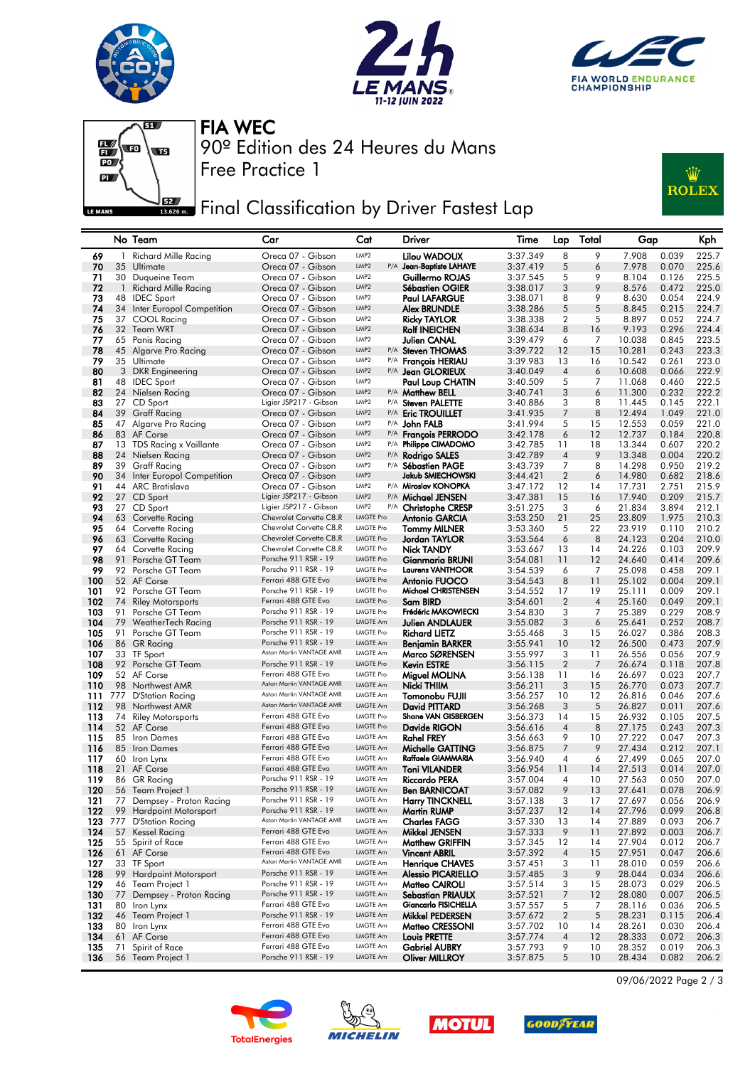







Free Practice 1 90º Edition des 24 Heures du Mans FIA WEC

## **JER** Final Classification by Driver Fastest Lap



|            |                | No Team                                            | Car                                             | Cat                                  | Driver                                        | Time                 | Lap                 | Total          | Gap              |                | Kph            |
|------------|----------------|----------------------------------------------------|-------------------------------------------------|--------------------------------------|-----------------------------------------------|----------------------|---------------------|----------------|------------------|----------------|----------------|
| 69         | -1             | <b>Richard Mille Racing</b>                        | Oreca 07 - Gibson                               | LMP <sub>2</sub>                     | Lilou WADOUX                                  | 3:37.349             | 8                   | 9              | 7.908            | 0.039          | 225.7          |
| 70         |                | 35 Ultimate                                        | Oreca 07 - Gibson                               | P/A<br>LMP <sub>2</sub>              | Jean-Baptiste LAHAYE                          | 3:37.419             | 5                   | 6              | 7.978            | 0.070          | 225.6          |
| 71         |                | 30 Duqueine Team                                   | Oreca 07 - Gibson                               | LMP <sub>2</sub>                     | Guillermo ROJAS                               | 3:37.545             | 5                   | 9              | 8.104            | 0.126          | 225.5          |
| 72         | $\overline{1}$ | Richard Mille Racing                               | Oreca 07 - Gibson                               | LMP <sub>2</sub>                     | Sébastien OGIER                               | 3:38.017             | 3                   | 9              | 8.576            | 0.472          | 225.0          |
| 73         | 48             | <b>IDEC</b> Sport                                  | Oreca 07 - Gibson                               | LMP <sub>2</sub><br>LMP <sub>2</sub> | <b>Paul LAFARGUE</b>                          | 3:38.071             | 8                   | 9              | 8.630            | 0.054          | 224.9          |
| 74<br>75   |                | 34 Inter Europol Competition<br>37 COOL Racing     | Oreca 07 - Gibson<br>Oreca 07 - Gibson          | LMP <sub>2</sub>                     | Alex BRUNDLE<br><b>Ricky TAYLOR</b>           | 3:38.286<br>3:38.338 | 5<br>$\overline{2}$ | 5<br>5         | 8.845<br>8.897   | 0.215<br>0.052 | 224.7<br>224.7 |
| 76         |                | 32 Team WRT                                        | Oreca 07 - Gibson                               | LMP <sub>2</sub>                     | <b>Rolf INEICHEN</b>                          | 3:38.634             | 8                   | 16             | 9.193            | 0.296          | 224.4          |
| 77         |                | 65 Panis Racing                                    | Oreca 07 - Gibson                               | LMP <sub>2</sub>                     | Julien CANAL                                  | 3:39.479             | 6                   | 7              | 10.038           | 0.845          | 223.5          |
| 78         |                | 45 Algarve Pro Racing                              | Oreca 07 - Gibson                               | LMP <sub>2</sub>                     | P/A Steven THOMAS                             | 3:39.722             | 12                  | 15             | 10.281           | 0.243          | 223.3          |
| 79         |                | 35 Ultimate                                        | Oreca 07 - Gibson                               | LMP <sub>2</sub>                     | P/A <b>François HERIAU</b>                    | 3:39.983             | 13                  | 16             | 10.542           | 0.261          | 223.0          |
| 80         |                | 3 DKR Engineering                                  | Oreca 07 - Gibson                               | LMP <sub>2</sub>                     | P/A Jean GLORIEUX                             | 3:40.049             | 4                   | 6              | 10.608           | 0.066          | 222.9          |
| 81         |                | 48 IDEC Sport                                      | Oreca 07 - Gibson                               | LMP <sub>2</sub>                     | Paul Loup CHATIN                              | 3:40.509             | 5                   | 7              | 11.068           | 0.460          | 222.5          |
| 82         |                | 24 Nielsen Racing                                  | Oreca 07 - Gibson                               | LMP <sub>2</sub>                     | P/A <b>Matthew BELL</b>                       | 3:40.741             | 3                   | 6              | 11.300           | 0.232          | 222.2          |
| 83         |                | 27 CD Sport                                        | Ligier JSP217 - Gibson                          | LMP <sub>2</sub>                     | P/A Steven PALETTE                            | 3:40.886             | 3                   | 8              | 11.445           | 0.145          | 222.1          |
| 84         |                | 39 Graff Racing                                    | Oreca 07 - Gibson                               | LMP <sub>2</sub>                     | P/A Eric TROUILLET                            | 3:41.935             | 7                   | 8              | 12.494           | 1.049          | 221.0          |
| 85         |                | 47 Algarve Pro Racing                              | Oreca 07 - Gibson                               | LMP <sub>2</sub><br>LMP <sub>2</sub> | P/A <b>John FALB</b>                          | 3:41.994             | 5                   | 15             | 12.553           | 0.059          | 221.0          |
| 86<br>87   |                | 83 AF Corse<br>13 TDS Racing x Vaillante           | Oreca 07 - Gibson<br>Oreca 07 - Gibson          | LMP <sub>2</sub>                     | P/A François PERRODO<br>P/A Philippe CIMADOMO | 3:42.178<br>3:42.785 | 6<br>11             | 12<br>18       | 12.737<br>13.344 | 0.184<br>0.607 | 220.8<br>220.2 |
| 88         | 24             | Nielsen Racing                                     | Oreca 07 - Gibson                               | LMP <sub>2</sub>                     | P/A Rodrigo SALES                             | 3:42.789             | 4                   | 9              | 13.348           | 0.004          | 220.2          |
| 89         | 39             | Graff Racing                                       | Oreca 07 - Gibson                               | LMP <sub>2</sub>                     | P/A Sébastien PAGE                            | 3:43.739             | 7                   | 8              | 14.298           | 0.950          | 219.2          |
| 90         |                | 34 Inter Europol Competition                       | Oreca 07 - Gibson                               | LMP <sub>2</sub>                     | <b>Jakub SMIECHOWSKI</b>                      | 3:44.421             | $\overline{2}$      | 6              | 14.980           | 0.682          | 218.6          |
| 91         |                | 44 ARC Bratislava                                  | Oreca 07 - Gibson                               | LMP <sub>2</sub>                     | P/A Miroslav KONOPKA                          | 3:47.172             | 12                  | 14             | 17.731           | 2.751          | 215.9          |
| 92         |                | 27 CD Sport                                        | Ligier JSP217 - Gibson                          | LMP <sub>2</sub>                     | P/A Michael JENSEN                            | 3:47.381             | 15                  | 16             | 17.940           | 0.209          | 215.7          |
| 93         |                | 27 CD Sport                                        | Ligier JSP217 - Gibson                          | LMP <sub>2</sub>                     | P/A Christophe CRESP                          | 3:51.275             | 3                   | 6              | 21.834           | 3.894          | 212.1          |
| 94         |                | 63 Corvette Racing                                 | Chevrolet Corvette C8.R                         | <b>LMGTE Pro</b>                     | Antonio GARCIA                                | 3:53.250             | 21                  | 25             | 23.809           | 1.975          | 210.3          |
| 95         |                | 64 Corvette Racing                                 | Chevrolet Corvette C8.R                         | <b>LMGTE Pro</b>                     | <b>Tommy MILNER</b>                           | 3:53.360             | 5                   | 22             | 23.919           | 0.110          | 210.2          |
| 96         |                | 63 Corvette Racing                                 | Chevrolet Corvette C8.R                         | <b>LMGTE Pro</b>                     | Jordan TAYLOR                                 | 3:53.564             | 6                   | 8              | 24.123           | 0.204          | 210.0          |
| 97         |                | 64 Corvette Racing                                 | Chevrolet Corvette C8.R                         | <b>LMGTE Pro</b>                     | Nick TANDY                                    | 3:53.667             | 13                  | 14             | 24.226           | 0.103          | 209.9          |
| 98<br>99   | 91             | Porsche GT Team                                    | Porsche 911 RSR - 19<br>Porsche 911 RSR - 19    | <b>LMGTE Pro</b><br><b>LMGTE Pro</b> | Gianmaria BRUNI<br><b>Laurens VANTHOOR</b>    | 3:54.081             | 11                  | 12             | 24.640<br>25.098 | 0.414          | 209.6          |
| 100        |                | 92 Porsche GT Team<br>52 AF Corse                  | Ferrari 488 GTE Evo                             | <b>LMGTE Pro</b>                     | Antonio FUOCO                                 | 3:54.539<br>3:54.543 | 6<br>8              | 7<br>11        | 25.102           | 0.458<br>0.004 | 209.1<br>209.1 |
| 101        |                | 92 Porsche GT Team                                 | Porsche 911 RSR - 19                            | <b>LMGTE Pro</b>                     | Michael CHRISTENSEN                           | 3:54.552             | 17                  | 19             | 25.111           | 0.009          | 209.1          |
| 102        | 74             | <b>Riley Motorsports</b>                           | Ferrari 488 GTE Evo                             | <b>LMGTE Pro</b>                     | Sam BIRD                                      | 3:54.601             | $\overline{2}$      | $\overline{4}$ | 25.160           | 0.049          | 209.1          |
| 103        | 91             | Porsche GT Team                                    | Porsche 911 RSR - 19                            | <b>LMGTE Pro</b>                     | Frédéric MAKOWIECKI                           | 3:54.830             | 3                   | 7              | 25.389           | 0.229          | 208.9          |
| 104        |                | 79 WeatherTech Racing                              | Porsche 911 RSR - 19                            | <b>LMGTE Am</b>                      | Julien ANDLAUER                               | 3:55.082             | 3                   | 6              | 25.641           | 0.252          | 208.7          |
| 105        | 91             | Porsche GT Team                                    | Porsche 911 RSR - 19                            | <b>LMGTE Pro</b>                     | <b>Richard LIETZ</b>                          | 3:55.468             | 3                   | 15             | 26.027           | 0.386          | 208.3          |
| 106        |                | 86 GR Racing                                       | Porsche 911 RSR - 19                            | <b>LMGTE Am</b>                      | Benjamin BARKER                               | 3:55.941             | 10                  | 12             | 26.500           | 0.473          | 207.9          |
| 107        |                | 33 TF Sport                                        | Aston Martin VANTAGE AMR                        | <b>LMGTE Am</b>                      | Marco SØRENSEN                                | 3:55.997             | 3                   | 11             | 26.556           | 0.056          | 207.9          |
| 108        |                | 92 Porsche GT Team                                 | Porsche 911 RSR - 19                            | <b>LMGTE Pro</b>                     | <b>Kevin ESTRE</b>                            | 3:56.115             | $\overline{2}$      | 7              | 26.674           | 0.118          | 207.8          |
| 109        |                | 52 AF Corse                                        | Ferrari 488 GTE Evo<br>Aston Martin VANTAGE AMR | <b>LMGTE Pro</b>                     | Miguel MOLINA                                 | 3:56.138             | 11                  | 16             | 26.697           | 0.023          | 207.7          |
| 110<br>111 | 98<br>777      | Northwest AMR                                      | Aston Martin VANTAGE AMR                        | <b>LMGTE Am</b><br><b>LMGTE Am</b>   | Nicki THIIM                                   | 3:56.211             | 3<br>10             | 15<br>12       | 26.770<br>26.816 | 0.073<br>0.046 | 207.7          |
| 112        | 98             | D'Station Racing<br>Northwest AMR                  | Aston Martin VANTAGE AMR                        | <b>LMGTE Am</b>                      | Tomonobu FUJII<br>David PITTARD               | 3:56.257<br>3:56.268 | 3                   | 5              | 26.827           | 0.011          | 207.6<br>207.6 |
| 113        | 74             | <b>Riley Motorsports</b>                           | Ferrari 488 GTE Evo                             | <b>LMGTE Pro</b>                     | Shane VAN GISBERGEN                           | 3:56.373             | 14                  | 15             | 26.932           | 0.105          | 207.5          |
| 114        |                | 52 AF Corse                                        | Ferrari 488 GTE Evo                             | <b>LMGTE Pro</b>                     | Davide RIGON                                  | 3:56.616             | 4                   | 8              | 27.175           | 0.243          | 207.3          |
| 115        |                | 85 Iron Dames                                      | Ferrari 488 GTE Evo                             | <b>LMGTE Am</b>                      | <b>Rahel FREY</b>                             | 3:56.663             | 9                   | 10             | 27.222           | 0.047          | 207.3          |
| 116        |                | 85 Iron Dames                                      | Ferrari 488 GTE Evo                             | <b>LMGTE Am</b>                      | Michelle GATTING                              | 3:56.875             | 7                   | 9              | 27.434           | 0.212          | 207.1          |
| 117        |                | 60 Iron Lynx                                       | Ferrari 488 GTE Evo                             | LMGTE Am                             | Raffaele GIAMMARIA                            | 3:56.940             | 4                   | 6              | 27.499           | 0.065          | 207.0          |
| 118        |                | 21 AF Corse                                        | Ferrari 488 GTE Evo                             | <b>LMGTE Am</b>                      | <b>Toni VILANDER</b>                          | 3:56.954             | 11                  | 14             | 27.513           | 0.014          | 207.0          |
| 119        |                | 86 GR Racing                                       | Porsche 911 RSR - 19                            | <b>LMGTE Am</b>                      | Riccardo PERA                                 | 3:57.004             | 4                   | 10             | 27.563           | 0.050          | 207.0          |
| 120        |                | 56 Team Project 1                                  | Porsche 911 RSR - 19                            | <b>LMGTE Am</b>                      | <b>Ben BARNICOAT</b>                          | 3:57.082             | 9                   | 13             | 27.641           | 0.078          | 206.9          |
| 121        | 77             | Dempsey - Proton Racing                            | Porsche 911 RSR - 19<br>Porsche 911 RSR - 19    | LMGTE Am<br>LMGTE Am                 | <b>Harry TINCKNELL</b>                        | 3:57.138             | 3                   | 17             | 27.697           | 0.056          | 206.9          |
| 122<br>123 | 777            | 99 Hardpoint Motorsport<br><b>D'Station Racing</b> | Aston Martin VANTAGE AMR                        | <b>LMGTE Am</b>                      | <b>Martin RUMP</b><br><b>Charles FAGG</b>     | 3:57.237<br>3:57.330 | 12<br>13            | 14<br>14       | 27.796<br>27.889 | 0.099<br>0.093 | 206.8<br>206.7 |
| 124        |                | 57 Kessel Racing                                   | Ferrari 488 GTE Evo                             | <b>LMGTE Am</b>                      | Mikkel JENSEN                                 | 3:57.333             | 9                   | 11             | 27.892           | 0.003          | 206.7          |
| 125        |                | 55 Spirit of Race                                  | Ferrari 488 GTE Evo                             | <b>LMGTE Am</b>                      | Matthew GRIFFIN                               | 3:57.345             | 12                  | 14             | 27.904           | 0.012          | 206.7          |
| 126        |                | 61 AF Corse                                        | Ferrari 488 GTE Evo                             | LMGTE Am                             | <b>Vincent ABRIL</b>                          | 3:57.392             | 4                   | 15             | 27.951           | 0.047          | 206.6          |
| 127        |                | 33 TF Sport                                        | Aston Martin VANTAGE AMR                        | <b>LMGTE Am</b>                      | <b>Henrique CHAVES</b>                        | 3:57.451             | 3                   | 11             | 28.010           | 0.059          | 206.6          |
| 128        |                | 99 Hardpoint Motorsport                            | Porsche 911 RSR - 19                            | LMGTE Am                             | <b>Alessio PICARIELLO</b>                     | 3:57.485             | 3                   | 9              | 28.044           | 0.034          | 206.6          |
| 129        |                | 46 Team Project 1                                  | Porsche 911 RSR - 19                            | <b>LMGTE Am</b>                      | Matteo CAIROLI                                | 3:57.514             | 3                   | 15             | 28.073           | 0.029          | 206.5          |
| 130        |                | 77 Dempsey - Proton Racing                         | Porsche 911 RSR - 19                            | LMGTE Am                             | <b>Sebastian PRIAULX</b>                      | 3:57.521             | 7                   | 12             | 28.080           | 0.007          | 206.5          |
| 131        |                | 80 Iron Lynx                                       | Ferrari 488 GTE Evo                             | <b>LMGTE Am</b>                      | Giancarlo FISICHELLA                          | 3:57.557             | 5                   | 7              | 28.116           | 0.036          | 206.5          |
| 132        |                | 46 Team Project 1                                  | Porsche 911 RSR - 19                            | LMGTE Am                             | Mikkel PEDERSEN                               | 3:57.672             | $\overline{2}$      | 5              | 28.231           | 0.115          | 206.4          |
| 133        |                | 80 Iron Lynx                                       | Ferrari 488 GTE Evo<br>Ferrari 488 GTE Evo      | <b>LMGTE Am</b><br>LMGTE Am          | Matteo CRESSONI                               | 3:57.702             | 10                  | 14             | 28.261           | 0.030          | 206.4          |
| 134<br>135 |                | 61 AF Corse<br>71 Spirit of Race                   | Ferrari 488 GTE Evo                             | <b>LMGTE Am</b>                      | Louis PRETTE<br><b>Gabriel AUBRY</b>          | 3:57.774<br>3:57.793 | 4<br>9              | 12<br>10       | 28.333<br>28.352 | 0.072<br>0.019 | 206.3<br>206.3 |
| 136        |                | 56 Team Project 1                                  | Porsche 911 RSR - 19                            | LMGTE Am                             | <b>Oliver MILLROY</b>                         | 3:57.875             | 5                   | 10             | 28.434           | 0.082          | 206.2          |
|            |                |                                                    |                                                 |                                      |                                               |                      |                     |                |                  |                |                |









09/06/2022 Page 2 / 3